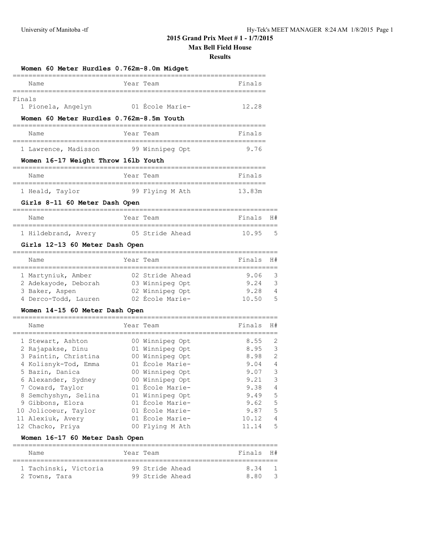# **2015 Grand Prix Meet # 1 - 1/7/2015**

**Max Bell Field House**

#### **Results**

| Women 60 Meter Hurdles 0.762m-8.0m Midget              |                                    |                       |                |
|--------------------------------------------------------|------------------------------------|-----------------------|----------------|
| Name                                                   | Year Team                          | Finals                |                |
| Finals<br>1 Pionela, Angelyn                           | 01 École Marie-                    | 12.28                 |                |
| Women 60 Meter Hurdles 0.762m-8.5m Youth               |                                    |                       |                |
| Name<br>,,,,,,,,,,,,,,,,,,,,,,,,,,                     | Year Team                          | Finals                |                |
| 1 Lawrence, Madisson                                   | 99 Winnipeg Opt                    | 9.76                  |                |
| Women 16-17 Weight Throw 161b Youth                    |                                    |                       |                |
| Name<br>===================                            | Year Team<br>====================  | Finals                |                |
| 1 Heald, Taylor                                        | 99 Flying M Ath                    | 13.83m                |                |
| Girls 8-11 60 Meter Dash Open                          |                                    |                       |                |
| Name                                                   | Year Team                          | Finals                | H#             |
| ==============================<br>1 Hildebrand, Avery  | 05 Stride Ahead                    | 10.95                 | 5              |
| Girls 12-13 60 Meter Dash Open                         |                                    | ;==================== |                |
| Name<br>__________________________                     | Year Team                          | Finals                | H#             |
| 1 Martyniuk, Amber                                     | 02 Stride Ahead                    | 9.06                  | 3              |
| 2 Adekayode, Deborah                                   | 03 Winnipeg Opt                    | 9.24                  | 3              |
| 3 Baker, Aspen                                         | 02 Winnipeg Opt                    | 9.28                  | 4              |
| 4 Derco-Todd, Lauren<br>Women 14-15 60 Meter Dash Open | 02 École Marie-                    | 10.50                 | 5              |
| Name                                                   | Year Team                          | Finals                | H#             |
| 1 Stewart, Ashton                                      | 00 Winnipeg Opt                    | 8.55                  | $\overline{2}$ |
| 2 Rajapakse, Dinu                                      | 01 Winnipeg Opt                    | 8.95                  | 3              |
| 3 Paintin, Christina                                   | 00 Winnipeg Opt                    | 8.98                  | $\overline{2}$ |
| 4 Kolisnyk-Tod, Emma                                   | 01 École Marie-                    | 9.04                  | $\overline{4}$ |
| 5 Bazin, Danica                                        | 00 Winnipeg Opt                    | 9.07                  | 3              |
| 6 Alexander, Sydney                                    | 00 Winnipeg Opt                    | 9.21                  | 3              |
| 7 Coward, Taylor                                       | 01 École Marie-                    | 9.38                  | 4              |
| 8 Semchyshyn, Selina                                   | 01 Winnipeg Opt<br>01 École Marie- | 9.49<br>9.62          | 5<br>5         |
| 9 Gibbons, Elora<br>10 Jolicoeur, Taylor               | 01 École Marie-                    | 9.87                  | 5              |
| 11 Alexiuk, Avery                                      | 01 École Marie-                    | 10.12                 | 4              |
| 12 Chacko, Priya                                       | 00 Flying M Ath                    | 11.14                 | 5              |
| Women 16-17 60 Meter Dash Open                         |                                    |                       |                |
| Name                                                   | Year Team                          | Finals                | H#             |
|                                                        |                                    |                       |                |

 1 Tachinski, Victoria 99 Stride Ahead 8.34 1 2 Towns, Tara 99 Stride Ahead 8.80 3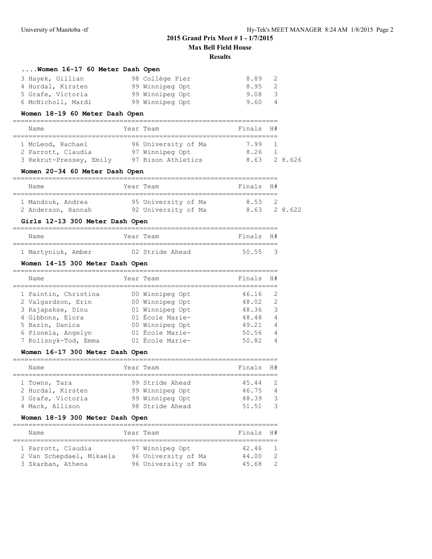# **....Women 16-17 60 Meter Dash Open**

| 3 Hayek, Gillian   | 98 Collège Pier | 8.89<br>2      |
|--------------------|-----------------|----------------|
| 4 Hurdal, Kirsten  | 99 Winnipeg Opt | $8.95 \quad 2$ |
| 5 Grafe, Victoria  | 99 Winnipeg Opt | 9.08 3         |
| 6 McNicholl, Mardi | 99 Winnipeg Opt | 9.60           |

## **Women 18-19 60 Meter Dash Open**

| Name                    |  | Year Team           | Finals H# |  |             |  |  |  |
|-------------------------|--|---------------------|-----------|--|-------------|--|--|--|
|                         |  |                     |           |  |             |  |  |  |
| 1 McLeod, Rachael       |  | 96 University of Ma | 7.99 1    |  |             |  |  |  |
| 2 Parrott, Claudia      |  | 97 Winnipeg Opt     | 8.26      |  |             |  |  |  |
| 3 Rekrut-Pressey, Emily |  | 97 Bison Athletics  |           |  | 8.63 28.626 |  |  |  |

## **Women 20-34 60 Meter Dash Open**

| Name               | Year Team           | Finals H#   |  |  |  |  |  |  |  |
|--------------------|---------------------|-------------|--|--|--|--|--|--|--|
|                    |                     |             |  |  |  |  |  |  |  |
| 1 Mandzuk, Andrea  | 95 University of Ma | 853         |  |  |  |  |  |  |  |
| 2 Anderson, Hannah | 92 University of Ma | 8.63 28.622 |  |  |  |  |  |  |  |

## **Girls 12-13 300 Meter Dash Open**

| Name               |  | Year Team       |  | Finals H# |               |
|--------------------|--|-----------------|--|-----------|---------------|
|                    |  |                 |  |           |               |
| 1 Martyniuk, Amber |  | 02 Stride Ahead |  | 50.55     | $\mathcal{R}$ |

## **Women 14-15 300 Meter Dash Open**

| Name                 | Year Team       | Finals | H#             |
|----------------------|-----------------|--------|----------------|
| 1 Paintin, Christina | 00 Winnipeg Opt | 46.16  | -2             |
| 2 Valgardson, Erin   | 00 Winnipeg Opt | 48.02  | $\mathcal{L}$  |
| 3 Rajapakse, Dinu    | 01 Winnipeg Opt | 48.36  | 3              |
| 4 Gibbons, Elora     | 01 École Marie- | 48.48  | 4              |
| 5 Bazin, Danica      | 00 Winnipeg Opt | 49.21  | $\overline{4}$ |
| 6 Pionela, Angelyn   | 01 École Marie- | 50.56  | 4              |
| 7 Kolisnyk-Tod, Emma | 01 École Marie- | 50.82  | $\overline{4}$ |

#### **Women 16-17 300 Meter Dash Open**

| Name              | Year Team       | Finals H# |                |
|-------------------|-----------------|-----------|----------------|
|                   |                 |           |                |
| 1 Towns, Tara     | 99 Stride Ahead | 45.44     | $\overline{2}$ |
| 2 Hurdal, Kirsten | 99 Winnipeg Opt | 46.75     | $\overline{4}$ |
| 3 Grafe, Victoria | 99 Winnipeg Opt | 48.39     | -3             |
| 4 Mack, Allison   | 98 Stride Ahead | 51.51     | -3             |

## **Women 18-19 300 Meter Dash Open**

| Name                                                                | Year Team                                                     | Finals H#               |                                                   |
|---------------------------------------------------------------------|---------------------------------------------------------------|-------------------------|---------------------------------------------------|
| 1 Parrott, Claudia<br>2 Van Schepdael, Mikaela<br>3 Skarban, Athena | 97 Winnipeg Opt<br>96 University of Ma<br>96 University of Ma | 42.46<br>44.00<br>45.68 | $\overline{1}$<br>$\mathcal{P}$<br>$\overline{2}$ |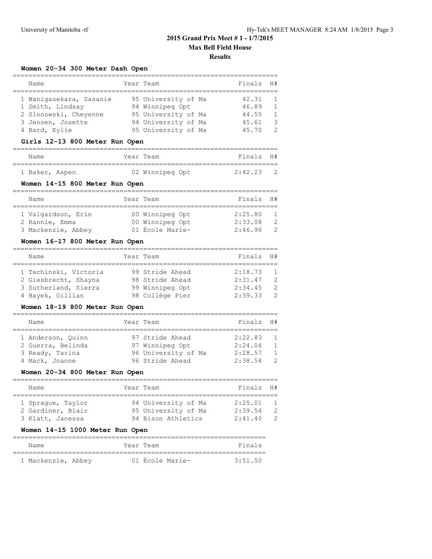## **Women 20-34 300 Meter Dash Open**

| Name                                                                                                       | Year Team                                                                                                   | Finals                                    | H#                                                           |
|------------------------------------------------------------------------------------------------------------|-------------------------------------------------------------------------------------------------------------|-------------------------------------------|--------------------------------------------------------------|
| 1 Waniqasekara, Sasanie<br>1 Smith, Lindsay<br>2 Slonowski, Cheyenne<br>3 Jensen, Josette<br>4 Bard, Kylie | 95 University of Ma<br>94 Winnipeg Opt<br>95 University of Ma<br>94 University of Ma<br>95 University of Ma | 42.31<br>46.89<br>44.55<br>45.61<br>45.70 | -1<br>$\overline{1}$<br>$\overline{1}$<br>3<br>$\mathcal{P}$ |

#### **Girls 12-13 800 Meter Run Open**

| Name           |  | Year Team       | Finals H#   |  |
|----------------|--|-----------------|-------------|--|
|                |  |                 |             |  |
| 1 Baker, Aspen |  | 02 Winnipeg Opt | $2:42.23$ 2 |  |

#### **Women 14-15 800 Meter Run Open**

| Name               | Year Team       | Finals H# |               |
|--------------------|-----------------|-----------|---------------|
|                    |                 |           |               |
| 1 Valgardson, Erin | 00 Winnipeg Opt | 2:25.80   |               |
| 2 Rannie, Emma     | 00 Winnipeg Opt | 2:33.08   | $\mathcal{P}$ |
| 3 Mackenzie, Abbey | 01 École Marie- | 2:46.96   |               |

#### **Women 16-17 800 Meter Run Open**

| Name                  | Year Team       | Finals  | H#             |
|-----------------------|-----------------|---------|----------------|
|                       |                 |         |                |
| 1 Tachinski, Victoria | 99 Stride Ahead | 2:18.73 | $\overline{1}$ |
| 2 Giesbrecht, Shayna  | 98 Stride Ahead | 2:31.47 | $\mathcal{P}$  |
| 3 Sutherland, Sierra  | 99 Winnipeg Opt | 2:34.45 | - 2            |
| 4 Hayek, Gillian      | 98 Collège Pier | 2:39.33 | $\mathcal{P}$  |

#### **Women 18-19 800 Meter Run Open**

| Name              | Year Team           | Finals H# |                |
|-------------------|---------------------|-----------|----------------|
|                   |                     |           |                |
| 1 Anderson, Ouinn | 97 Stride Ahead     | 2:22.83   | $\overline{1}$ |
| 2 Guerra, Belinda | 97 Winnipeg Opt     | 2:24.04   | $\overline{1}$ |
| 3 Ready, Tarina   | 96 University of Ma | 2:28.57   | $\overline{1}$ |
| 4 Mack, Joanne    | 96 Stride Ahead     | 2:38.54   | $\mathcal{D}$  |

## **Women 20-34 800 Meter Run Open**

| Name              | Year Team           | Finals H# |     |
|-------------------|---------------------|-----------|-----|
| 1 Spraque, Taylor | 94 University of Ma | 2:25.01   |     |
| 2 Gardiner, Blair | 95 University of Ma | 2:39.54   | - 2 |
| 3 Klatt, Janessa  | 94 Bison Athletics  | 2:41.40   | - 2 |

#### **Women 14-15 1000 Meter Run Open**

| Name               | Year Team |                 | Finals  |
|--------------------|-----------|-----------------|---------|
|                    |           |                 |         |
| 1 Mackenzie, Abbey |           | 01 École Marie- | 3:51.50 |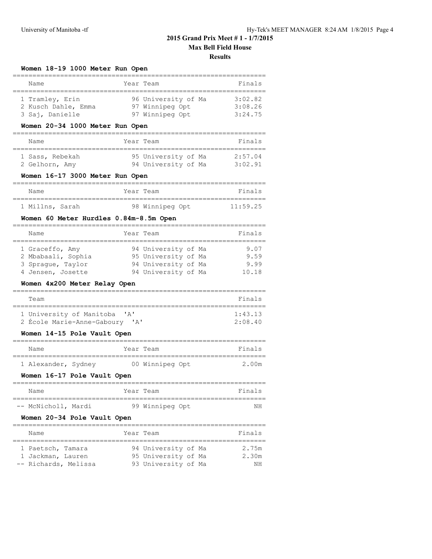| Women 18-19 1000 Meter Run Open                           |           |                                                           |                               |
|-----------------------------------------------------------|-----------|-----------------------------------------------------------|-------------------------------|
| Name                                                      |           | Year Team                                                 | Finals                        |
| 1 Tramley, Erin<br>2 Kusch Dahle, Emma<br>3 Saj, Danielle |           | 96 University of Ma<br>97 Winnipeg Opt<br>97 Winnipeg Opt | 3:02.82<br>3:08.26<br>3:24.75 |
| Women 20-34 1000 Meter Run Open                           |           |                                                           |                               |
| Name                                                      |           | Year Team                                                 | Finals                        |
| 1 Sass, Rebekah<br>2 Gelhorn, Amy                         |           | 95 University of Ma<br>94 University of Ma                | 2:57.04<br>3:02.91            |
| Women 16-17 3000 Meter Run Open                           |           |                                                           |                               |
| Name                                                      | Year Team |                                                           | Finals                        |
| 1 Millns, Sarah                                           |           | 98 Winnipeg Opt                                           | 11:59.25                      |
| Women 60 Meter Hurdles 0.84m-8.5m Open                    |           |                                                           |                               |
| Name                                                      | Year Team |                                                           | Finals                        |

| Name               | Year Team           |  | Finals |
|--------------------|---------------------|--|--------|
|                    |                     |  |        |
| 1 Graceffo, Amy    | 94 University of Ma |  | 9.07   |
| 2 Mbabaali, Sophia | 95 University of Ma |  | 9.59   |
| 3 Spraque, Taylor  | 94 University of Ma |  | 9.99   |
| 4 Jensen, Josette  | 94 University of Ma |  | 10.18  |

## **Women 4x200 Meter Relay Open**

| Team                                                         | Finals          |
|--------------------------------------------------------------|-----------------|
| 1 University of Manitoba 'A'                                 | $1 \cdot 43$ 13 |
| 2 École Marie-Anne-Gaboury<br>$\mathsf{I} \wedge \mathsf{I}$ | $2.08$ 40       |

#### **Women 14-15 Pole Vault Open**

| Name                |  | Year Team       | Finals |
|---------------------|--|-----------------|--------|
| 1 Alexander, Sydney |  | 00 Winnipeg Opt | 2.00m  |

#### **Women 16-17 Pole Vault Open**

| Name                | Year Team       | Finals |
|---------------------|-----------------|--------|
|                     |                 |        |
| -- McNicholl, Mardi | 99 Winnipeg Opt | ΝH     |

#### **Women 20-34 Pole Vault Open**

| Name                 | Year Team           | Finals |
|----------------------|---------------------|--------|
|                      |                     |        |
| 1 Paetsch, Tamara    | 94 University of Ma | 2.75m  |
| 1 Jackman, Lauren    | 95 University of Ma | 2.30m  |
| -- Richards, Melissa | 93 University of Ma | ΝH     |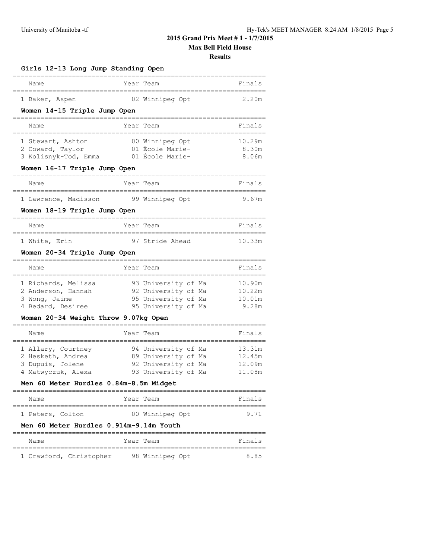**Results**

| Girls 12-13 Long Jump Standing Open      |                                            |                  |  |  |  |  |
|------------------------------------------|--------------------------------------------|------------------|--|--|--|--|
| Name                                     | Year Team                                  | Finals           |  |  |  |  |
| 1 Baker, Aspen                           | 02 Winnipeg Opt                            | 2.20m            |  |  |  |  |
| Women 14-15 Triple Jump Open             |                                            |                  |  |  |  |  |
| Name                                     | Year Team                                  | Finals           |  |  |  |  |
| 1 Stewart, Ashton                        | 00 Winnipeg Opt                            | 10.29m           |  |  |  |  |
| 2 Coward, Taylor<br>3 Kolisnyk-Tod, Emma | 01 École Marie-<br>01 École Marie-         | 8.30m<br>8.06m   |  |  |  |  |
| Women 16-17 Triple Jump Open             |                                            |                  |  |  |  |  |
| Name                                     | Year Team                                  | Finals           |  |  |  |  |
| 1 Lawrence, Madisson                     | 99 Winnipeg Opt                            | 9.67m            |  |  |  |  |
| Women 18-19 Triple Jump Open             |                                            |                  |  |  |  |  |
| Name                                     | Year Team                                  | Finals           |  |  |  |  |
| 1 White, Erin                            | 97 Stride Ahead                            | 10.33m           |  |  |  |  |
| Women 20-34 Triple Jump Open             |                                            |                  |  |  |  |  |
| Name                                     | Year Team                                  | Finals           |  |  |  |  |
| 1 Richards, Melissa                      | 93 University of Ma                        | 10.90m           |  |  |  |  |
| 2 Anderson, Hannah<br>3 Wong, Jaime      | 92 University of Ma<br>95 University of Ma | 10.22m<br>10.01m |  |  |  |  |
| 4 Bedard, Desiree                        | 95 University of Ma                        | 9.28m            |  |  |  |  |
| Women 20-34 Weight Throw 9.07kg Open     |                                            |                  |  |  |  |  |
| Name                                     | Year Team                                  | Finals           |  |  |  |  |
| 1 Allary, Courtney                       | 94 University of Ma                        | 13.31m           |  |  |  |  |
| 2 Hesketh, Andrea<br>3 Dupuis, Jolene    | 89 University of Ma<br>92 University of Ma | 12.45m<br>12.09m |  |  |  |  |
| 4 Matwyczuk, Alexa                       | 93 University of Ma                        | 11.08m           |  |  |  |  |
| Men 60 Meter Hurdles 0.84m-8.5m Midget   |                                            |                  |  |  |  |  |
| Name                                     | Year Team                                  | Finals           |  |  |  |  |
| 1 Peters, Colton                         | 00 Winnipeg Opt                            | 9.71             |  |  |  |  |
| Men 60 Meter Hurdles 0.914m-9.14m Youth  |                                            |                  |  |  |  |  |
| Name                                     | Year Team                                  | Finals           |  |  |  |  |
| ============<br>1 Crawford, Christopher  | ===========<br>98 Winnipeg Opt             | ======<br>8.85   |  |  |  |  |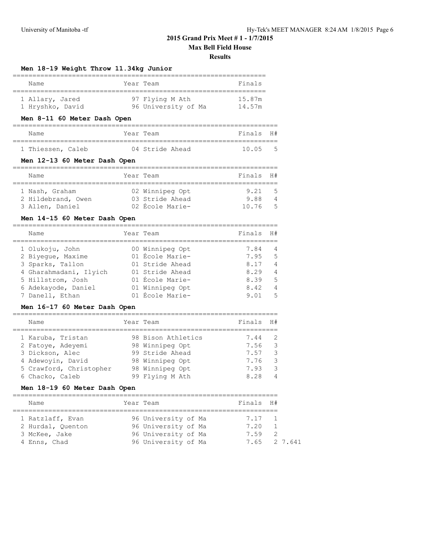#### **Results**

## **Men 18-19 Weight Throw 11.34kg Junior**

| Name             | Year Team |                     | Finals |  |  |
|------------------|-----------|---------------------|--------|--|--|
| 1 Allary, Jared  |           | 97 Flying M Ath     | 15.87m |  |  |
| 1 Hryshko, David |           | 96 University of Ma | 14.57m |  |  |

## **Men 8-11 60 Meter Dash Open**

| Name              | Year Team |                 |  | Finals H#   |  |
|-------------------|-----------|-----------------|--|-------------|--|
|                   |           |                 |  |             |  |
| 1 Thiessen, Caleb |           | 04 Stride Ahead |  | $10.05 - 5$ |  |

#### **Men 12-13 60 Meter Dash Open**

| Name               | Year Team       | Finals H# |     |
|--------------------|-----------------|-----------|-----|
| 1 Nash, Graham     | 02 Winnipeg Opt | 9.21      | - 5 |
| 2 Hildebrand, Owen | 03 Stride Ahead | 9.88      | 4   |
| 3 Allen, Daniel    | 02 École Marie- | 10.76     | - 5 |

## **Men 14-15 60 Meter Dash Open**

| Name                   | Year Team       | Finals | H#             |
|------------------------|-----------------|--------|----------------|
| 1 Olukoju, John        | 00 Winnipeg Opt | 7.84   | 4              |
| 2 Biyeque, Maxime      | 01 École Marie- | 7.95   | - 5            |
| 3 Sparks, Tallon       | 01 Stride Ahead | 8.17   | 4              |
| 4 Gharahmadani, Ilyich | 01 Stride Ahead | 8.29   | 4              |
| 5 Hillstrom, Josh      | 01 École Marie- | 8.39   | 5              |
| 6 Adekayode, Daniel    | 01 Winnipeg Opt | 8.42   | $\overline{4}$ |
| 7 Danell, Ethan        | 01 École Marie- | 9.01   | -5             |

#### **Men 16-17 60 Meter Dash Open**

| Name                    | Year Team          | Finals | H#             |
|-------------------------|--------------------|--------|----------------|
| 1 Karuba, Tristan       | 98 Bison Athletics | 7.44   | - 2            |
| 2 Fatoye, Adeyemi       | 98 Winnipeg Opt    | 7.56   | - 3            |
| 3 Dickson, Alec         | 99 Stride Ahead    | 7.57   | -3             |
| 4 Adewoyin, David       | 98 Winnipeg Opt    | 7.76   | -3             |
| 5 Crawford, Christopher | 98 Winnipeg Opt    | 7.93   | - 3            |
| 6 Chacko, Caleb         | 99 Flying M Ath    | 8.28   | $\overline{4}$ |

## **Men 18-19 60 Meter Dash Open**

| Name                                  |  | Year Team                                  | Finals H#      |                                |  |  |  |  |  |  |
|---------------------------------------|--|--------------------------------------------|----------------|--------------------------------|--|--|--|--|--|--|
| 1 Ratzlaff, Evan<br>2 Hurdal, Ouenton |  | 96 University of Ma<br>96 University of Ma | 7.17 1<br>7.20 |                                |  |  |  |  |  |  |
| 3 McKee, Jake<br>4 Enns, Chad         |  | 96 University of Ma<br>96 University of Ma | 7.59           | $\overline{2}$<br>7.65 2.7.641 |  |  |  |  |  |  |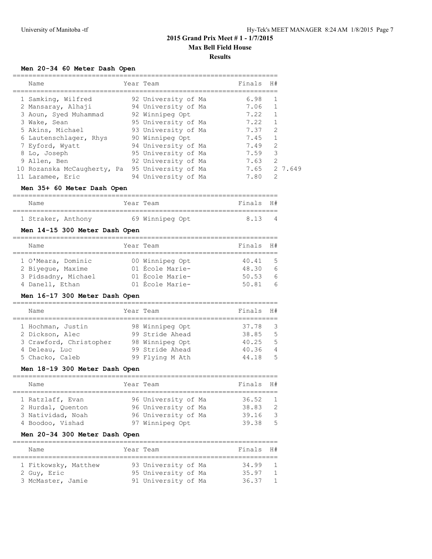## **Men 20-34 60 Meter Dash Open**

| Name                        |  | Year Team           | Finals H# |               |
|-----------------------------|--|---------------------|-----------|---------------|
|                             |  |                     |           |               |
| 1 Samking, Wilfred          |  | 92 University of Ma | 6.98      |               |
| 2 Mansaray, Alhaji          |  | 94 University of Ma | 7.06      |               |
| 3 Aoun, Syed Muhammad       |  | 92 Winnipeg Opt     | 7.22      |               |
| 3 Wake, Sean                |  | 95 University of Ma | 7.22      |               |
| 5 Akins, Michael            |  | 93 University of Ma | 7.37      | 2             |
| 6 Lautenschlager, Rhys      |  | 90 Winnipeg Opt     | 7.45      |               |
| 7 Eyford, Wyatt             |  | 94 University of Ma | 7.49      | $\mathcal{L}$ |
| 8 Lo, Joseph                |  | 95 University of Ma | 7.59      | 3             |
| 9 Allen, Ben                |  | 92 University of Ma | 7.63      | 2             |
| 10 Rozanska McCaugherty, Pa |  | 95 University of Ma | 7.65      | 2 7.649       |
| 11 Laramee, Eric            |  | 94 University of Ma | 7.80      | $\mathcal{L}$ |

#### **Men 35+ 60 Meter Dash Open**

| Name               |  | Year Team       | Finals H# |  |
|--------------------|--|-----------------|-----------|--|
|                    |  |                 |           |  |
| 1 Straker, Anthony |  | 69 Winnipeg Opt | 813       |  |

## **Men 14-15 300 Meter Dash Open**

| Name                | Year Team       | Finals H# |            |
|---------------------|-----------------|-----------|------------|
|                     |                 |           |            |
| 1 O'Meara, Dominic  | 00 Winnipeg Opt | 40.41     | - 5        |
| 2 Biyeque, Maxime   | 01 École Marie- | 48.30     | 6          |
| 3 Pidsadny, Michael | 01 École Marie- | 50.53     | 6          |
| 4 Danell, Ethan     | 01 École Marie- | 50.81     | $\epsilon$ |

#### **Men 16-17 300 Meter Dash Open**

| Name                    | Year Team       | Finals H# |                |
|-------------------------|-----------------|-----------|----------------|
| 1 Hochman, Justin       | 98 Winnipeg Opt | 37.78     | - 3            |
| 2 Dickson, Alec         | 99 Stride Ahead | 38.85     | - 5            |
| 3 Crawford, Christopher | 98 Winnipeg Opt | 40.25     | - 5            |
| 4 Deleau, Luc           | 99 Stride Ahead | 40.36     | $\overline{4}$ |
| 5 Chacko, Caleb         | 99 Flying M Ath | 44.18     | - 5            |

## **Men 18-19 300 Meter Dash Open**

| Name              | Year Team           | Finals | H#             |
|-------------------|---------------------|--------|----------------|
|                   |                     |        |                |
| 1 Ratzlaff, Evan  | 96 University of Ma | 36.52  | $\overline{1}$ |
| 2 Hurdal, Ouenton | 96 University of Ma | 38.83  | -2             |
| 3 Natividad, Noah | 96 University of Ma | 39.16  | $\mathcal{R}$  |
| 4 Boodoo, Vishad  | 97 Winnipeg Opt     | 39.38  | -5             |

## **Men 20-34 300 Meter Dash Open**

| Name                                                     | Year Team                                                         | Finals H#               |                                                    |
|----------------------------------------------------------|-------------------------------------------------------------------|-------------------------|----------------------------------------------------|
| 1 Fitkowsky, Matthew<br>2 Guy, Eric<br>3 McMaster, Jamie | 93 University of Ma<br>95 University of Ma<br>91 University of Ma | 34.99<br>35.97<br>36.37 | $\overline{1}$<br>$\overline{1}$<br>$\overline{1}$ |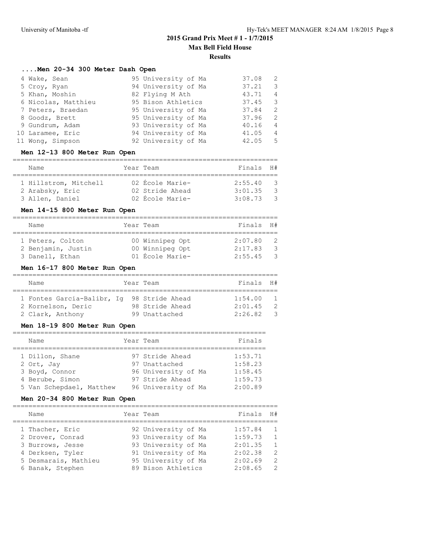## **....Men 20-34 300 Meter Dash Open**

| 4 Wake, Sean        | 95 University of Ma | 37.08 | -2.            |
|---------------------|---------------------|-------|----------------|
| 5 Croy, Ryan        | 94 University of Ma | 37.21 | 3              |
| 5 Khan, Moshin      | 82 Flying M Ath     | 43.71 | $\overline{4}$ |
| 6 Nicolas, Matthieu | 95 Bison Athletics  | 37.45 | -3             |
| 7 Peters, Braedan   | 95 University of Ma | 37.84 | 2              |
| 8 Goodz, Brett      | 95 University of Ma | 37.96 | -2.            |
| 9 Gundrum, Adam     | 93 University of Ma | 40.16 | 4              |
| 10 Laramee, Eric    | 94 University of Ma | 41.05 | $\overline{4}$ |
| 11 Wong, Simpson    | 92 University of Ma | 42.05 | -5             |

#### **Men 12-13 800 Meter Run Open**

| Name                  |  | Year Team       | Finals H# |      |  |  |  |  |  |
|-----------------------|--|-----------------|-----------|------|--|--|--|--|--|
| 1 Hillstrom, Mitchell |  | 02 École Marie- | 2:55.40   | - 2  |  |  |  |  |  |
| 2 Arabsky, Eric       |  | 02 Stride Ahead | 3:01.35   | - 30 |  |  |  |  |  |

3 Allen, Daniel 02 École Marie- 3:08.73 3

#### **Men 14-15 800 Meter Run Open**

| Name               | Year Team       | Finals H# |               |
|--------------------|-----------------|-----------|---------------|
|                    |                 |           |               |
| 1 Peters, Colton   | 00 Winnipeg Opt | 2:07.80   | - 2           |
| 2 Benjamin, Justin | 00 Winnipeg Opt | 2:17.83   | -3            |
| 3 Danell, Ethan    | 01 École Marie- | 2:55.45   | $\mathcal{S}$ |

#### **Men 16-17 800 Meter Run Open**

| Name                                       | Year Team |                 | Finals H# |                |
|--------------------------------------------|-----------|-----------------|-----------|----------------|
|                                            |           |                 |           |                |
| 1 Fontes Garcia-Balibr, Iq 98 Stride Ahead |           |                 | 1:54.00   |                |
| 2 Kornelson, Deric                         |           | 98 Stride Ahead | 2:01.45   | $\overline{2}$ |
| 2 Clark, Anthony                           |           | 99 Unattached   | 2:26.82   | $\mathcal{R}$  |

#### **Men 18-19 800 Meter Run Open**

| Name                     | Year Team           | Finals  |
|--------------------------|---------------------|---------|
|                          |                     |         |
| 1 Dillon, Shane          | 97 Stride Ahead     | 1:53.71 |
| 2 Ort, Jay               | 97 Unattached       | 1:58.23 |
| 3 Boyd, Connor           | 96 University of Ma | 1:58.45 |
| 4 Berube, Simon          | 97 Stride Ahead     | 1:59.73 |
| 5 Van Schepdael, Matthew | 96 University of Ma | 2:00.89 |

#### **Men 20-34 800 Meter Run Open**

=================================================================== Name  $Year$  Team  $Year$  Finals H# =================================================================== 1 Thacher, Eric **92 University of Ma** 1:57.84 1 2 Drover, Conrad 93 University of Ma 1:59.73 1 3 Burrows, Jesse 93 University of Ma 2:01.35 1 4 Derksen, Tyler 91 University of Ma 2:02.38 2 5 Desmarais, Mathieu 95 University of Ma 2:02.69 2 6 Banak, Stephen 89 Bison Athletics 2:08.65 2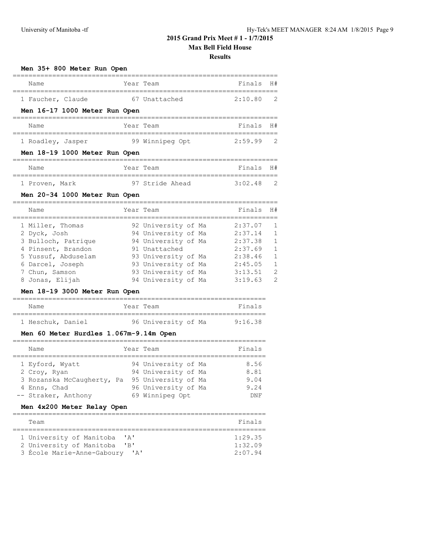**Results**

#### **Men 35+ 800 Meter Run Open**

| Name                          | Year Team       | Finals H#   |  |
|-------------------------------|-----------------|-------------|--|
| 1 Faucher, Claude             | 67 Unattached   | 2:10.80 2   |  |
| Men 16-17 1000 Meter Run Open |                 |             |  |
| Name                          | Year Team       | Finals H#   |  |
| 1 Roadley, Jasper             | 99 Winnipeg Opt | $2:59.99$ 2 |  |
| Men 18-19 1000 Meter Run Open |                 |             |  |
|                               |                 |             |  |

| Name           | Year Team |                 | Finals H#   |  |
|----------------|-----------|-----------------|-------------|--|
|                |           |                 |             |  |
| 1 Proven, Mark |           | 97 Stride Ahead | $3:02.48$ 2 |  |

## **Men 20-34 1000 Meter Run Open**

| Name                | Year Team           | Finals  | H#             |
|---------------------|---------------------|---------|----------------|
| 1 Miller, Thomas    | 92 University of Ma | 2:37.07 |                |
| 2 Dyck, Josh        | 94 University of Ma | 2:37.14 | $\overline{1}$ |
| 3 Bulloch, Patrique | 94 University of Ma | 2:37.38 | $\overline{1}$ |
| 4 Pinsent, Brandon  | 91 Unattached       | 2:37.69 | $\mathbf{1}$   |
| 5 Yussuf, Abduselam | 93 University of Ma | 2:38.46 | 1              |
| 6 Darcel, Joseph    | 93 University of Ma | 2:45.05 | $\mathbf{1}$   |
| 7 Chun, Samson      | 93 University of Ma | 3:13.51 | 2              |
| 8 Jonas, Elijah     | 94 University of Ma | 3:19.63 | 2              |

## **Men 18-19 3000 Meter Run Open**

| Name              | Year Team |                     | Finals  |
|-------------------|-----------|---------------------|---------|
|                   |           |                     |         |
| 1 Heschuk, Daniel |           | 96 University of Ma | 9:16.38 |

## **Men 60 Meter Hurdles 1.067m-9.14m Open**

| Name                       | Year Team           | Finals |
|----------------------------|---------------------|--------|
| 1 Eyford, Wyatt            | 94 University of Ma | 8.56   |
| 2 Croy, Ryan               | 94 University of Ma | 8.81   |
| 3 Rozanska McCaugherty, Pa | 95 University of Ma | 9.04   |
| 4 Enns, Chad               | 96 University of Ma | 9.24   |
| -- Straker, Anthony        | 69 Winnipeg Opt     | DNF    |

## **Men 4x200 Meter Relay Open**

| Team                              | Finals  |
|-----------------------------------|---------|
|                                   |         |
| 1 University of Manitoba<br>' A'  | 1:29.35 |
| 2 University of Manitoba<br>$'$ B | 1:32.09 |
| 3 École Marie-Anne-Gaboury<br>יבי | 2:07.94 |
|                                   |         |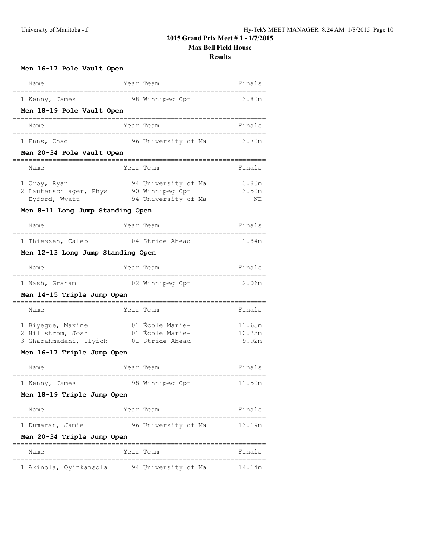**Results**

| Men 16-17 Pole Vault Open                                                                      |  |                                                               |                           |  |  |
|------------------------------------------------------------------------------------------------|--|---------------------------------------------------------------|---------------------------|--|--|
| Name                                                                                           |  | Year Team                                                     | Finals                    |  |  |
| 1 Kenny, James<br>Men 18-19 Pole Vault Open                                                    |  | 98 Winnipeg Opt                                               | 3.80m                     |  |  |
| Name                                                                                           |  | Year Team                                                     | Finals                    |  |  |
| 1 Enns, Chad<br>Men 20-34 Pole Vault Open                                                      |  | 96 University of Ma                                           | 3.70m                     |  |  |
| Name                                                                                           |  | Year Team                                                     | Finals                    |  |  |
| 1 Croy, Ryan<br>2 Lautenschlager, Rhys<br>-- Eyford, Wyatt<br>Men 8-11 Long Jump Standing Open |  | 94 University of Ma<br>90 Winnipeg Opt<br>94 University of Ma | 3.80m<br>3.50m<br>NΗ      |  |  |
| Name                                                                                           |  | Year Team                                                     | Finals                    |  |  |
| 1 Thiessen, Caleb<br>Men 12-13 Long Jump Standing Open                                         |  | 04 Stride Ahead                                               | 1.84m                     |  |  |
| Name                                                                                           |  | Year Team                                                     | Finals                    |  |  |
| 1 Nash, Graham<br>Men 14-15 Triple Jump Open                                                   |  | 02 Winnipeg Opt                                               | 2.06m                     |  |  |
| Name                                                                                           |  | Year Team                                                     | Finals                    |  |  |
| 1 Biyeque, Maxime<br>2 Hillstrom, Josh<br>3 Gharahmadani, Ilyich<br>Men 16-17 Triple Jump Open |  | 01 Ecole Marie-<br>01 École Marie-<br>01 Stride Ahead         | 11.65m<br>10.23m<br>9.92m |  |  |
| Name                                                                                           |  | Year Team                                                     | Finals                    |  |  |
| 1 Kenny, James<br>Men 18-19 Triple Jump Open                                                   |  | 98 Winnipeg Opt                                               | 11.50m                    |  |  |
| ----------------------------<br>Name                                                           |  | Year Team                                                     | Finals                    |  |  |
| 1 Dumaran, Jamie<br>Men 20-34 Triple Jump Open                                                 |  | 96 University of Ma                                           | 13.19m                    |  |  |
| =============================<br>Name                                                          |  | ==========<br>Year Team                                       | Finals                    |  |  |
| 1 Akinola, Oyinkansola                                                                         |  | 94 University of Ma                                           | 14.14m                    |  |  |